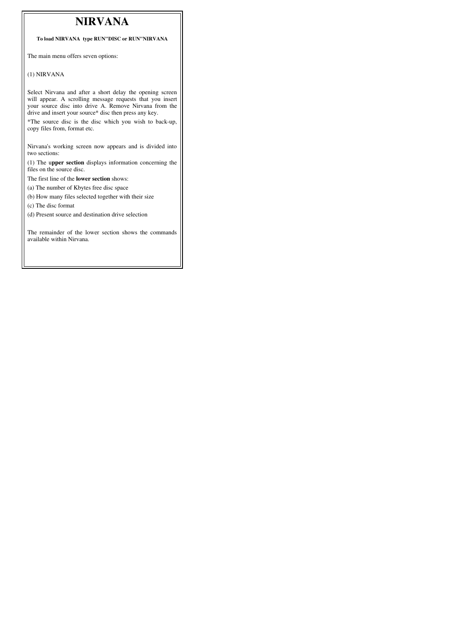## **NIRVANA**

**To load NIRVANA type RUN"DISC or RUN"NIRVANA**

The main menu offers seven options:

## (1) NIRVANA

Select Nirvana and after a short delay the opening screen will appear. A scrolling message requests that you insert your source disc into drive A. Remove Nirvana from the drive and insert your source\* disc then press any key.

\*The source disc is the disc which you wish to back-up, copy files from, format etc.

Nirvana's working screen now appears and is divided into two sections:

(1) The u**pper section** displays information concerning the files on the source disc.

The first line of the **lower section** shows:

(a) The number of Kbytes free disc space

(b) How many files selected together with their size (c) The disc format

(d) Present source and destination drive selection

The remainder of the lower section shows the commands available within Nirvana.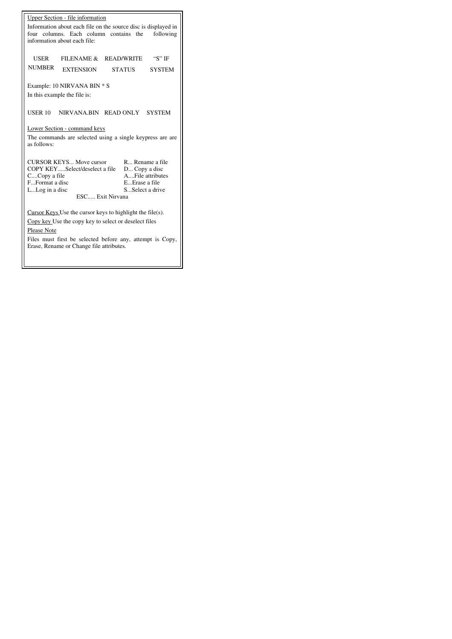| Upper Section - file information<br>Information about each file on the source disc is displayed in<br>four columns. Each column contains the<br>following<br>information about each file:                                            |  |  |  |
|--------------------------------------------------------------------------------------------------------------------------------------------------------------------------------------------------------------------------------------|--|--|--|
| "S" IF<br>FILENAME &<br><b>READ/WRITE</b><br>USER<br><b>NUMBER</b><br><b>EXTENSION</b><br><b>STATUS</b><br><b>SYSTEM</b>                                                                                                             |  |  |  |
| Example: 10 NIRVANA BIN * S                                                                                                                                                                                                          |  |  |  |
| In this example the file is:                                                                                                                                                                                                         |  |  |  |
|                                                                                                                                                                                                                                      |  |  |  |
| NIRVANA BIN READ ONLY SYSTEM<br>USER 10                                                                                                                                                                                              |  |  |  |
| Lower Section - command keys                                                                                                                                                                                                         |  |  |  |
|                                                                                                                                                                                                                                      |  |  |  |
| The commands are selected using a single keypress are are<br>as follows:                                                                                                                                                             |  |  |  |
|                                                                                                                                                                                                                                      |  |  |  |
| <b>CURSOR KEYS Move cursor</b><br>R Rename a file<br>COPY KEYSelect/deselect a file<br>D Copy a disc<br>AFile attributes<br>CCopy a file<br>FFormat a disc<br>EErase a file<br>LLog in a disc<br>SSelect a drive<br>ESC Exit Nirvana |  |  |  |
| Cursor Keys Use the cursor keys to highlight the file $(s)$ .<br>Copy key Use the copy key to select or deselect files                                                                                                               |  |  |  |
| Please Note                                                                                                                                                                                                                          |  |  |  |
| Files must first be selected before any, attempt is Copy,                                                                                                                                                                            |  |  |  |
| Erase, Rename or Change file attributes.                                                                                                                                                                                             |  |  |  |
|                                                                                                                                                                                                                                      |  |  |  |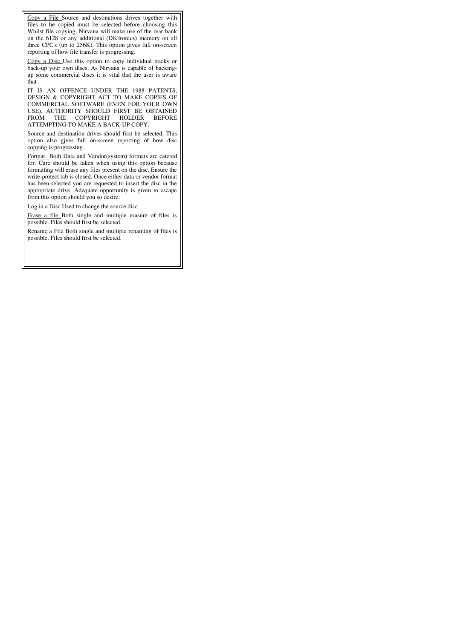Copy a File Source and destinations drives together with files to he copied must be selected before choosing this Whilst file copying, Nirvana will make use of the rear bank on the 6128 or any additional (DK'tronics) memory on all three CPC's (up to 256K). This option gives full on-screen reporting of how file transfer is progressing.

Copy a Disc Use this option to copy individual tracks or back-up your own discs. As Nirvana is capable of backingup some commercial discs it is vital that the user is aware that :

IT IS AN OFFENCE UNDER THE 1988 PATENTS, DESIGN & COPYRIGHT ACT TO MAKE COPIES OF COMMERCIAL SOFTWARE (EVEN FOR YOUR OWN USE). AUTHORITY SHOULD FIRST BE OBTAINED FROM THE COPYRIGHT HOLDER BEFORE ATTEMPTING TO MAKE A BACK-UP COPY.

Source and destination drives should first be selected. This option also gjves full on-screen reporting of how disc copying is progressing.

Format Both Data and Vendor(system) formats are catered for. Care should be taken when using this option because formatting will erase any files present on the disc. Ensure the write-protect tab is closed. Once either data or vendor format has been selected you are requested to insert the disc in the appropriate drive. Adequate opportunity is given to escape from this option should you so desire.

Log in a Disc Used to change the source disc.

Erase a file Both single and multiple erasure of files is possible. Files should first be selected.

Rename a File Both single and multiple renaming of files is possible. Files should first be selected.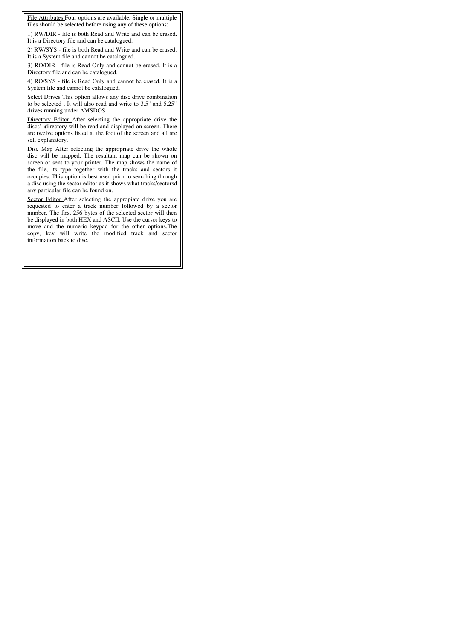File Attributes Four options are available. Single or multiple files should be selected before using any of these options:

1) RW/DIR - file is both Read and Write and can be erased. It is a Directory file and can be catalogued.

2) RW/SYS - file is both Read and Write and can be erased. It is a System file and cannot be catalogued.

3) RO/DIR - file is Read Only and cannot be erased. It is a Directory file and can be catalogued.

4) RO/SYS - file is Read Only and cannot he erased. It is a System file and cannot be catalogued.

Select Drives This option allows any disc drive combination to be selected . It will also read and write to 3.5" and 5.25" drives running under AMSDOS.

Directory Editor After selecting the appropriate drive the discs' slirectory will be read and displayed on screen. There are twelve options listed at the foot of the screen and all are self explanatory.

Disc Map After selecting the appropriate drive the whole disc will be mapped. The resultant map can be shown on screen or sent to your printer. The map shows the name of the file, its type together with the tracks and sectors it occupies. This option is best used prior to searching through a disc using the sector editor as it shows what tracks/sectorsd any particular file can be found on.

Sector Editor After selecting the appropiate drive you are requested to enter a track number followed by a sector number. The first 256 bytes of the selected sector will then be displayed in both HEX and ASCII. Use the cursor keys to move and the numeric keypad for the other options.The copy, key will write the modified track and sector information back to disc.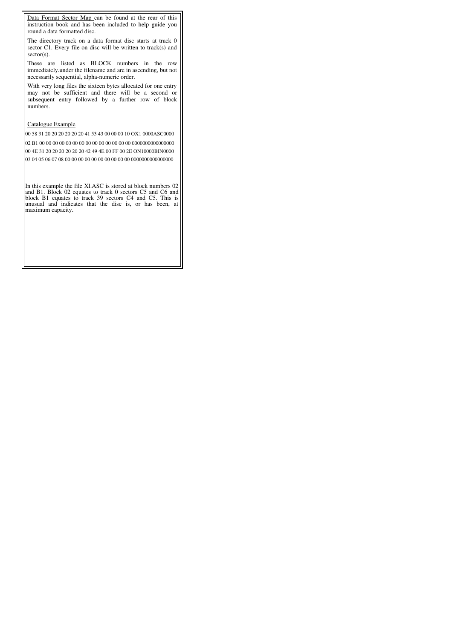Data Format Sector Map can be found at the rear of this instruction book and has been included to help guide you round a data formatted disc.

The directory track on a data format disc starts at track 0 sector C1. Every file on disc will be written to track(s) and sector(s).

These are listed as BLOCK numbers in the row immediately.under the filename and are in ascending, but not necessarily sequential, alpha-numeric order.

With very long files the sixteen bytes allocated for one entry may not be sufficient and there will be a second or subsequent entry followed by a further row of block numbers.

## Catalogue Example

00 58 31 20 20 20 20 20 20 41 53 43 00 00 00 10 OX1 0000ASC0000

02 B1 00 00 00 00 00 00 00 00 00 00 00 00 00 00 0000000000000000 00 4E 31 20 20 20 20 20 20 42 49 4E 00 FF 00 2E ON10000BIN0000 03 04 05 06 07 08 00 00 00 00 00 00 00 00 00 00 0000000000000000

In this example the file Xl.ASC is stored at block numbers 02 and B1. Block 02 equates to track 0 sectors C5 and C6 and block B1 equates to track 39 sectors C4 and C5. This is unusual and indicates that the disc is, or has been, at maximum capacity.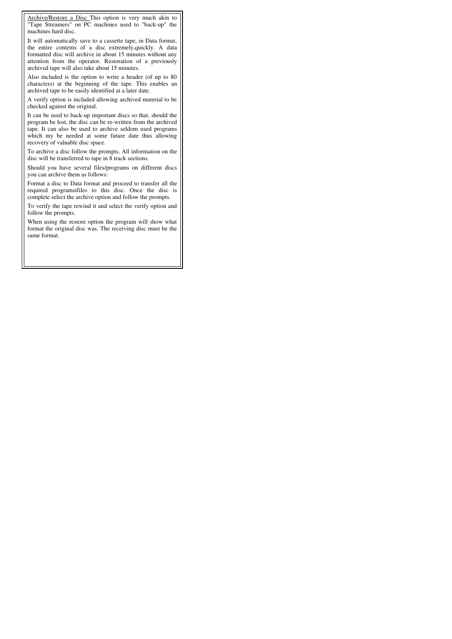Archive/Restore a Disc This option is very much akin to "Tape Streamers" on PC machines used to "back-up" the machines hard disc.

It will automatically save to a cassette tape, in Data format, the entire contents of a disc extremely,quickly. A data formatted disc will archive in about 15 minutes without any attention from the operator. Restoration of a previously archived tape will also take about 15 minutes.

Also included is the option to write a header (of up to 80 characters) at the beginning of the tape. This enables an archived tape to be easily identified at a later date.

A verify option is included allowing archived material to be checked against the original.

It can be used to back-up important discs so that, should the program be lost, the disc can be re-written from the archived tape. It can also be used to archive seldom used programs which my be needed at some future date thus allowing recovery of valuable disc space.

To archive a disc follow the prompts. All information on the disc will be transferred to tape in 8 track sections.

Should you have several files/programs on different discs you can archive them as follows:

Format a disc to Data format and proceed to transfer all the required programsifiles to this disc. Once the disc is complete select the archive option and follow the prompts.

To verify the tape rewind it and select the verify option and follow the prompts.

When using the restore option the program will show what format the original disc was. The receiving disc must be the same format.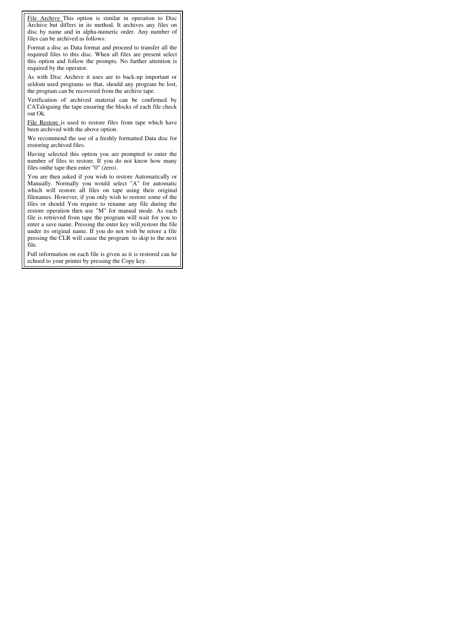File Archive This option is similar in operation to Disc Archive but differs in its method. It archives any files on disc by name and in alpha-numeric order. Any number of files can be archived as follows:

Format a disc as Data format and proceed to transfer all the required files to this disc. When all files are present select this option and follow the prompts. No further attention is required by the operator.

As with Disc Archive it uses are to back-up important or seldom used programs so that, should any program be lost, the program can be recovered from the archive tape.

Verification of archived material can be confirmed by CATaloguing the tape ensuring the blocks of each file check out Ok.

File Restore is used to restore files from tape which have been archived with the above option.

We recommend the use of a freshly formatted Data disc for restoring archived files.

Having selected this option you are prompted to enter the number of files to restore. If you do not know how many files onthe tape then enter "0" (zero).

You are then asked if you wish to restore Automatically or Manually. Normally you would select "A" for automatic which will restore all files on tape using their original filenames. However, if you only wish to restore some of the files or should You require to rename any file during the restore operation then use "M" for manual mode. As each file is retrieved from tape the program will wait for you to enter a save name. Pressing the enter key will restore the file under its original name. If you do not wish be retore a file pressing the CLR will cause the program to skip to the next file.

Full information on each file is given as it is restored can he echoed to your printer by pressing the Copy key.